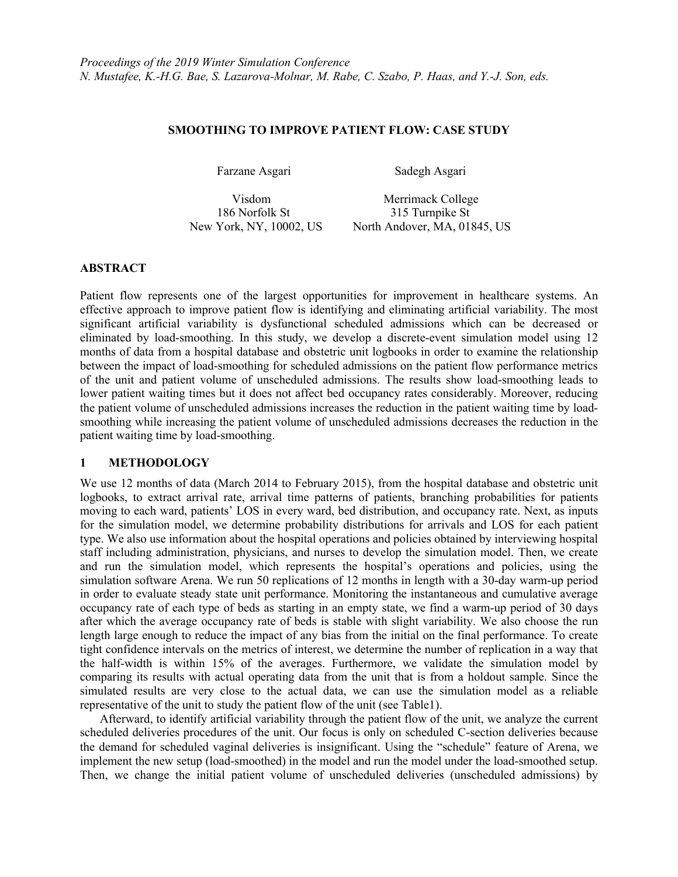### **SMOOTHING TO IMPROVE PATIENT FLOW: CASE STUDY**

Farzane Asgari Sadegh Asgari

 Visdom Merrimack College 186 Norfolk St 315 Turnpike St New York, NY, 10002, US North Andover, MA, 01845, US

## **ABSTRACT**

Patient flow represents one of the largest opportunities for improvement in healthcare systems. An effective approach to improve patient flow is identifying and eliminating artificial variability. The most significant artificial variability is dysfunctional scheduled admissions which can be decreased or eliminated by load-smoothing. In this study, we develop a discrete-event simulation model using 12 months of data from a hospital database and obstetric unit logbooks in order to examine the relationship between the impact of load-smoothing for scheduled admissions on the patient flow performance metrics of the unit and patient volume of unscheduled admissions. The results show load-smoothing leads to lower patient waiting times but it does not affect bed occupancy rates considerably. Moreover, reducing the patient volume of unscheduled admissions increases the reduction in the patient waiting time by loadsmoothing while increasing the patient volume of unscheduled admissions decreases the reduction in the patient waiting time by load-smoothing.

## **1 METHODOLOGY**

We use 12 months of data (March 2014 to February 2015), from the hospital database and obstetric unit logbooks, to extract arrival rate, arrival time patterns of patients, branching probabilities for patients moving to each ward, patients' LOS in every ward, bed distribution, and occupancy rate. Next, as inputs for the simulation model, we determine probability distributions for arrivals and LOS for each patient type. We also use information about the hospital operations and policies obtained by interviewing hospital staff including administration, physicians, and nurses to develop the simulation model. Then, we create and run the simulation model, which represents the hospital's operations and policies, using the simulation software Arena. We run 50 replications of 12 months in length with a 30-day warm-up period in order to evaluate steady state unit performance. Monitoring the instantaneous and cumulative average occupancy rate of each type of beds as starting in an empty state, we find a warm-up period of 30 days after which the average occupancy rate of beds is stable with slight variability. We also choose the run length large enough to reduce the impact of any bias from the initial on the final performance. To create tight confidence intervals on the metrics of interest, we determine the number of replication in a way that the half-width is within 15% of the averages. Furthermore, we validate the simulation model by comparing its results with actual operating data from the unit that is from a holdout sample. Since the simulated results are very close to the actual data, we can use the simulation model as a reliable representative of the unit to study the patient flow of the unit (see Table1).

Afterward, to identify artificial variability through the patient flow of the unit, we analyze the current scheduled deliveries procedures of the unit. Our focus is only on scheduled C-section deliveries because the demand for scheduled vaginal deliveries is insignificant. Using the "schedule" feature of Arena, we implement the new setup (load-smoothed) in the model and run the model under the load-smoothed setup. Then, we change the initial patient volume of unscheduled deliveries (unscheduled admissions) by